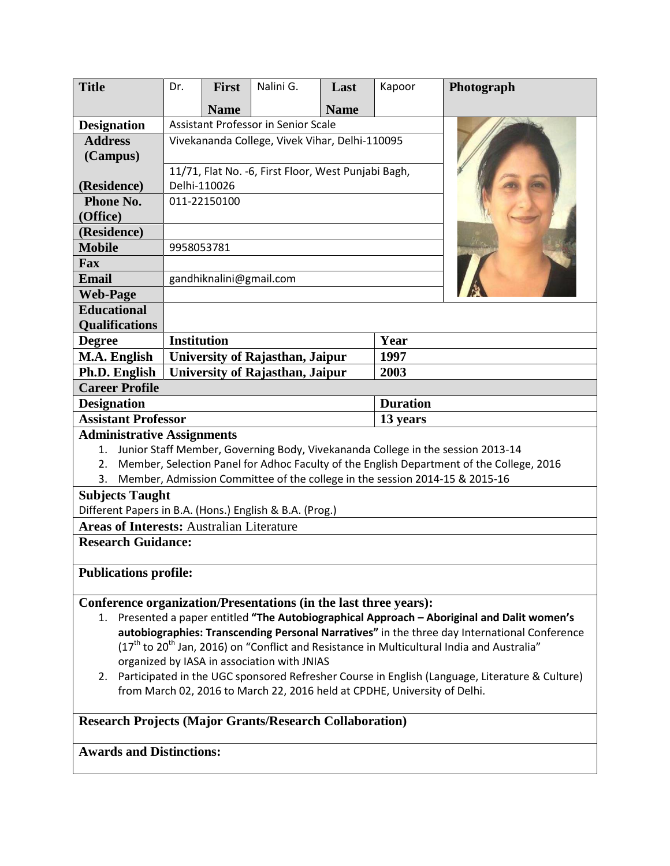| <b>Title</b>                                                                                                                                                    | Dr.                                                                                      | <b>First</b> | Nalini G.                       | Last        | Kapoor | Photograph |  |
|-----------------------------------------------------------------------------------------------------------------------------------------------------------------|------------------------------------------------------------------------------------------|--------------|---------------------------------|-------------|--------|------------|--|
|                                                                                                                                                                 |                                                                                          | <b>Name</b>  |                                 | <b>Name</b> |        |            |  |
| <b>Designation</b>                                                                                                                                              | Assistant Professor in Senior Scale                                                      |              |                                 |             |        |            |  |
| <b>Address</b>                                                                                                                                                  | Vivekananda College, Vivek Vihar, Delhi-110095                                           |              |                                 |             |        |            |  |
| (Campus)                                                                                                                                                        |                                                                                          |              |                                 |             |        |            |  |
|                                                                                                                                                                 | 11/71, Flat No. -6, First Floor, West Punjabi Bagh,                                      |              |                                 |             |        |            |  |
| (Residence)                                                                                                                                                     | Delhi-110026                                                                             |              |                                 |             |        |            |  |
| Phone No.                                                                                                                                                       | 011-22150100                                                                             |              |                                 |             |        |            |  |
| (Office)                                                                                                                                                        |                                                                                          |              |                                 |             |        |            |  |
| (Residence)                                                                                                                                                     |                                                                                          |              |                                 |             |        |            |  |
| <b>Mobile</b>                                                                                                                                                   | 9958053781                                                                               |              |                                 |             |        |            |  |
| Fax                                                                                                                                                             |                                                                                          |              |                                 |             |        |            |  |
| <b>Email</b>                                                                                                                                                    | gandhiknalini@gmail.com                                                                  |              |                                 |             |        |            |  |
| <b>Web-Page</b>                                                                                                                                                 |                                                                                          |              |                                 |             |        |            |  |
| <b>Educational</b><br><b>Qualifications</b>                                                                                                                     |                                                                                          |              |                                 |             |        |            |  |
| <b>Degree</b>                                                                                                                                                   | <b>Institution</b>                                                                       |              |                                 |             | Year   |            |  |
| M.A. English                                                                                                                                                    |                                                                                          |              | University of Rajasthan, Jaipur |             | 1997   |            |  |
| Ph.D. English                                                                                                                                                   |                                                                                          |              |                                 |             | 2003   |            |  |
| <b>University of Rajasthan, Jaipur</b><br><b>Career Profile</b>                                                                                                 |                                                                                          |              |                                 |             |        |            |  |
| <b>Designation</b>                                                                                                                                              | <b>Duration</b>                                                                          |              |                                 |             |        |            |  |
| <b>Assistant Professor</b>                                                                                                                                      |                                                                                          |              |                                 | 13 years    |        |            |  |
| <b>Administrative Assignments</b>                                                                                                                               |                                                                                          |              |                                 |             |        |            |  |
| Junior Staff Member, Governing Body, Vivekananda College in the session 2013-14<br>1.                                                                           |                                                                                          |              |                                 |             |        |            |  |
| 2.                                                                                                                                                              | Member, Selection Panel for Adhoc Faculty of the English Department of the College, 2016 |              |                                 |             |        |            |  |
| Member, Admission Committee of the college in the session 2014-15 & 2015-16<br>3.                                                                               |                                                                                          |              |                                 |             |        |            |  |
| <b>Subjects Taught</b>                                                                                                                                          |                                                                                          |              |                                 |             |        |            |  |
| Different Papers in B.A. (Hons.) English & B.A. (Prog.)                                                                                                         |                                                                                          |              |                                 |             |        |            |  |
| <b>Areas of Interests: Australian Literature</b>                                                                                                                |                                                                                          |              |                                 |             |        |            |  |
| <b>Research Guidance:</b>                                                                                                                                       |                                                                                          |              |                                 |             |        |            |  |
| <b>Publications profile:</b>                                                                                                                                    |                                                                                          |              |                                 |             |        |            |  |
|                                                                                                                                                                 |                                                                                          |              |                                 |             |        |            |  |
| Conference organization/Presentations (in the last three years):<br>1. Presented a paper entitled "The Autobiographical Approach - Aboriginal and Dalit women's |                                                                                          |              |                                 |             |        |            |  |
| autobiographies: Transcending Personal Narratives" in the three day International Conference                                                                    |                                                                                          |              |                                 |             |        |            |  |
| $(17th$ to 20 <sup>th</sup> Jan, 2016) on "Conflict and Resistance in Multicultural India and Australia"                                                        |                                                                                          |              |                                 |             |        |            |  |
| organized by IASA in association with JNIAS                                                                                                                     |                                                                                          |              |                                 |             |        |            |  |
| 2. Participated in the UGC sponsored Refresher Course in English (Language, Literature & Culture)                                                               |                                                                                          |              |                                 |             |        |            |  |
| from March 02, 2016 to March 22, 2016 held at CPDHE, University of Delhi.                                                                                       |                                                                                          |              |                                 |             |        |            |  |
| <b>Research Projects (Major Grants/Research Collaboration)</b>                                                                                                  |                                                                                          |              |                                 |             |        |            |  |
| <b>Awards and Distinctions:</b>                                                                                                                                 |                                                                                          |              |                                 |             |        |            |  |
|                                                                                                                                                                 |                                                                                          |              |                                 |             |        |            |  |